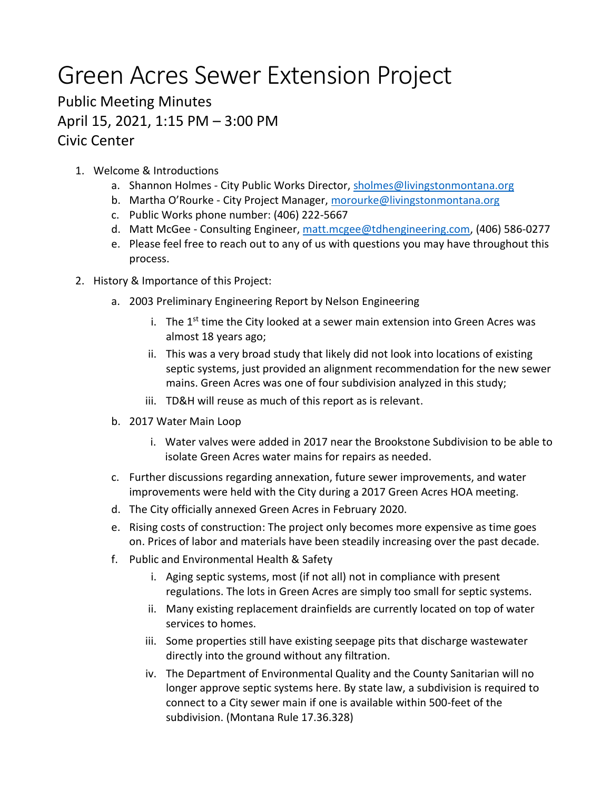## Green Acres Sewer Extension Project

## Public Meeting Minutes April 15, 2021, 1:15 PM – 3:00 PM Civic Center

- 1. Welcome & Introductions
	- a. Shannon Holmes City Public Works Director, [sholmes@livingstonmontana.org](mailto:sholmes@livingstonmontana.org)
	- b. Martha O'Rourke City Project Manager[, morourke@livingstonmontana.org](mailto:morourke@livingstonmontana.org)
	- c. Public Works phone number: (406) 222-5667
	- d. Matt McGee Consulting Engineer, [matt.mcgee@tdhengineering.com,](mailto:matt.mcgee@tdhengineering.com) (406) 586-0277
	- e. Please feel free to reach out to any of us with questions you may have throughout this process.
- 2. History & Importance of this Project:
	- a. 2003 Preliminary Engineering Report by Nelson Engineering
		- i. The  $1<sup>st</sup>$  time the City looked at a sewer main extension into Green Acres was almost 18 years ago;
		- ii. This was a very broad study that likely did not look into locations of existing septic systems, just provided an alignment recommendation for the new sewer mains. Green Acres was one of four subdivision analyzed in this study;
		- iii. TD&H will reuse as much of this report as is relevant.
	- b. 2017 Water Main Loop
		- i. Water valves were added in 2017 near the Brookstone Subdivision to be able to isolate Green Acres water mains for repairs as needed.
	- c. Further discussions regarding annexation, future sewer improvements, and water improvements were held with the City during a 2017 Green Acres HOA meeting.
	- d. The City officially annexed Green Acres in February 2020.
	- e. Rising costs of construction: The project only becomes more expensive as time goes on. Prices of labor and materials have been steadily increasing over the past decade.
	- f. Public and Environmental Health & Safety
		- i. Aging septic systems, most (if not all) not in compliance with present regulations. The lots in Green Acres are simply too small for septic systems.
		- ii. Many existing replacement drainfields are currently located on top of water services to homes.
		- iii. Some properties still have existing seepage pits that discharge wastewater directly into the ground without any filtration.
		- iv. The Department of Environmental Quality and the County Sanitarian will no longer approve septic systems here. By state law, a subdivision is required to connect to a City sewer main if one is available within 500-feet of the subdivision. (Montana Rule 17.36.328)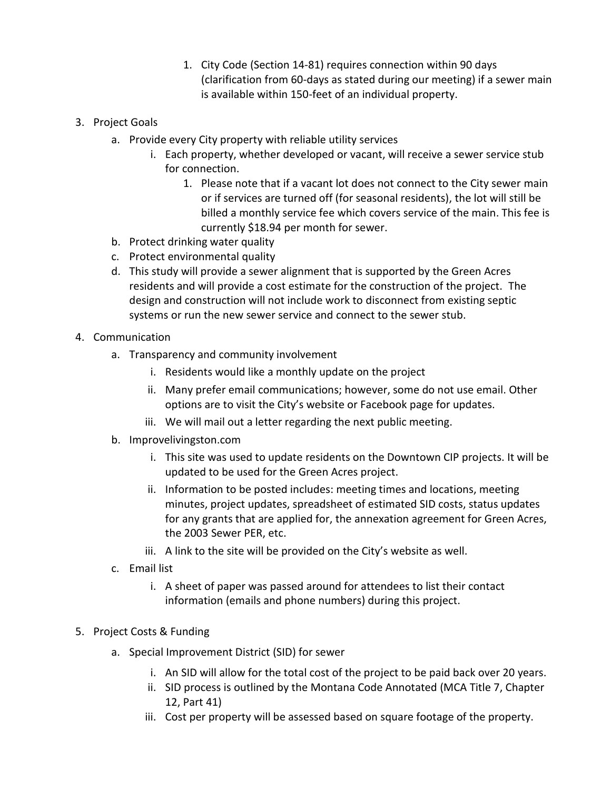- 1. City Code (Section 14-81) requires connection within 90 days (clarification from 60-days as stated during our meeting) if a sewer main is available within 150-feet of an individual property.
- 3. Project Goals
	- a. Provide every City property with reliable utility services
		- i. Each property, whether developed or vacant, will receive a sewer service stub for connection.
			- 1. Please note that if a vacant lot does not connect to the City sewer main or if services are turned off (for seasonal residents), the lot will still be billed a monthly service fee which covers service of the main. This fee is currently \$18.94 per month for sewer.
	- b. Protect drinking water quality
	- c. Protect environmental quality
	- d. This study will provide a sewer alignment that is supported by the Green Acres residents and will provide a cost estimate for the construction of the project. The design and construction will not include work to disconnect from existing septic systems or run the new sewer service and connect to the sewer stub.
- 4. Communication
	- a. Transparency and community involvement
		- i. Residents would like a monthly update on the project
		- ii. Many prefer email communications; however, some do not use email. Other options are to visit the City's website or Facebook page for updates.
		- iii. We will mail out a letter regarding the next public meeting.
	- b. Improvelivingston.com
		- i. This site was used to update residents on the Downtown CIP projects. It will be updated to be used for the Green Acres project.
		- ii. Information to be posted includes: meeting times and locations, meeting minutes, project updates, spreadsheet of estimated SID costs, status updates for any grants that are applied for, the annexation agreement for Green Acres, the 2003 Sewer PER, etc.
		- iii. A link to the site will be provided on the City's website as well.
	- c. Email list
		- i. A sheet of paper was passed around for attendees to list their contact information (emails and phone numbers) during this project.
- 5. Project Costs & Funding
	- a. Special Improvement District (SID) for sewer
		- i. An SID will allow for the total cost of the project to be paid back over 20 years.
		- ii. SID process is outlined by the Montana Code Annotated (MCA Title 7, Chapter 12, Part 41)
		- iii. Cost per property will be assessed based on square footage of the property.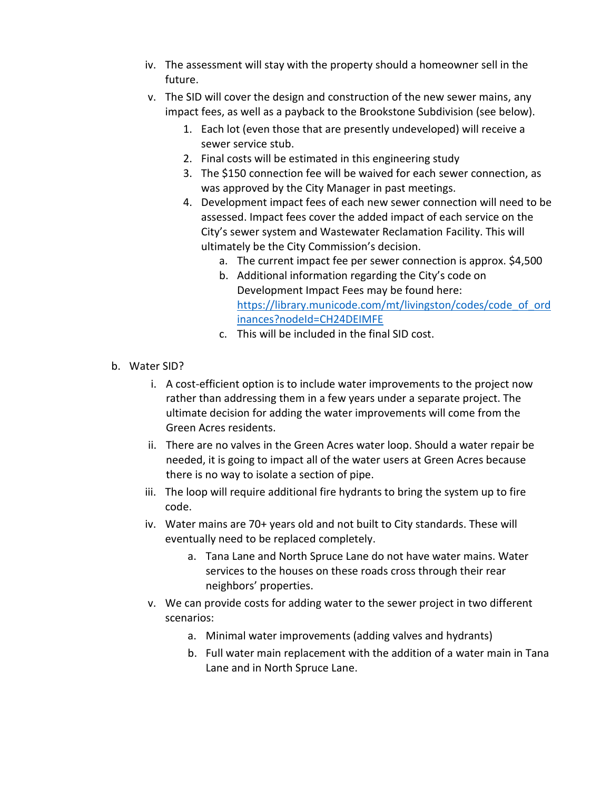- iv. The assessment will stay with the property should a homeowner sell in the future.
- v. The SID will cover the design and construction of the new sewer mains, any impact fees, as well as a payback to the Brookstone Subdivision (see below).
	- 1. Each lot (even those that are presently undeveloped) will receive a sewer service stub.
	- 2. Final costs will be estimated in this engineering study
	- 3. The \$150 connection fee will be waived for each sewer connection, as was approved by the City Manager in past meetings.
	- 4. Development impact fees of each new sewer connection will need to be assessed. Impact fees cover the added impact of each service on the City's sewer system and Wastewater Reclamation Facility. This will ultimately be the City Commission's decision.
		- a. The current impact fee per sewer connection is approx. \$4,500
		- b. Additional information regarding the City's code on Development Impact Fees may be found here: [https://library.municode.com/mt/livingston/codes/code\\_of\\_ord](https://library.municode.com/mt/livingston/codes/code_of_ordinances?nodeId=CH24DEIMFE) [inances?nodeId=CH24DEIMFE](https://library.municode.com/mt/livingston/codes/code_of_ordinances?nodeId=CH24DEIMFE)
		- c. This will be included in the final SID cost.
- b. Water SID?
	- i. A cost-efficient option is to include water improvements to the project now rather than addressing them in a few years under a separate project. The ultimate decision for adding the water improvements will come from the Green Acres residents.
	- ii. There are no valves in the Green Acres water loop. Should a water repair be needed, it is going to impact all of the water users at Green Acres because there is no way to isolate a section of pipe.
	- iii. The loop will require additional fire hydrants to bring the system up to fire code.
	- iv. Water mains are 70+ years old and not built to City standards. These will eventually need to be replaced completely.
		- a. Tana Lane and North Spruce Lane do not have water mains. Water services to the houses on these roads cross through their rear neighbors' properties.
	- v. We can provide costs for adding water to the sewer project in two different scenarios:
		- a. Minimal water improvements (adding valves and hydrants)
		- b. Full water main replacement with the addition of a water main in Tana Lane and in North Spruce Lane.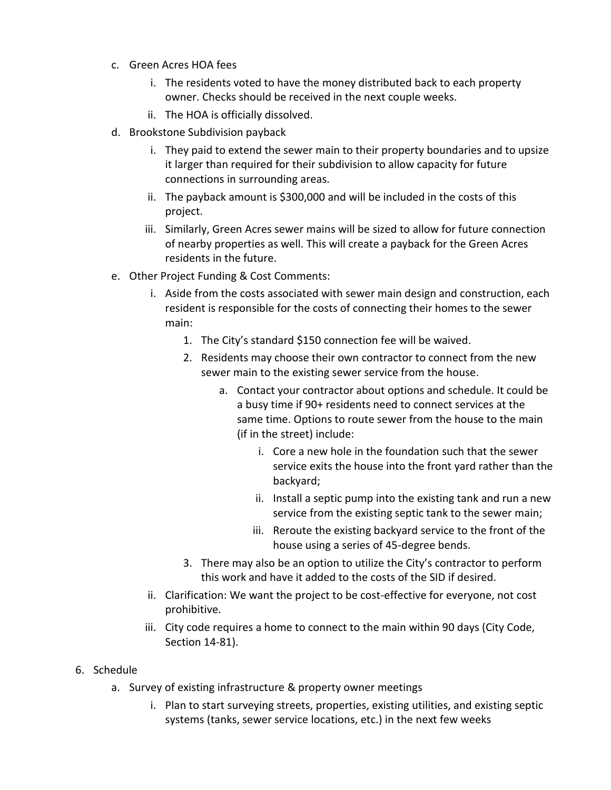- c. Green Acres HOA fees
	- i. The residents voted to have the money distributed back to each property owner. Checks should be received in the next couple weeks.
	- ii. The HOA is officially dissolved.
- d. Brookstone Subdivision payback
	- i. They paid to extend the sewer main to their property boundaries and to upsize it larger than required for their subdivision to allow capacity for future connections in surrounding areas.
	- ii. The payback amount is \$300,000 and will be included in the costs of this project.
	- iii. Similarly, Green Acres sewer mains will be sized to allow for future connection of nearby properties as well. This will create a payback for the Green Acres residents in the future.
- e. Other Project Funding & Cost Comments:
	- i. Aside from the costs associated with sewer main design and construction, each resident is responsible for the costs of connecting their homes to the sewer main:
		- 1. The City's standard \$150 connection fee will be waived.
		- 2. Residents may choose their own contractor to connect from the new sewer main to the existing sewer service from the house.
			- a. Contact your contractor about options and schedule. It could be a busy time if 90+ residents need to connect services at the same time. Options to route sewer from the house to the main (if in the street) include:
				- i. Core a new hole in the foundation such that the sewer service exits the house into the front yard rather than the backyard;
				- ii. Install a septic pump into the existing tank and run a new service from the existing septic tank to the sewer main;
				- iii. Reroute the existing backyard service to the front of the house using a series of 45-degree bends.
		- 3. There may also be an option to utilize the City's contractor to perform this work and have it added to the costs of the SID if desired.
	- ii. Clarification: We want the project to be cost-effective for everyone, not cost prohibitive.
	- iii. City code requires a home to connect to the main within 90 days (City Code, Section 14-81).
- 6. Schedule
	- a. Survey of existing infrastructure & property owner meetings
		- i. Plan to start surveying streets, properties, existing utilities, and existing septic systems (tanks, sewer service locations, etc.) in the next few weeks